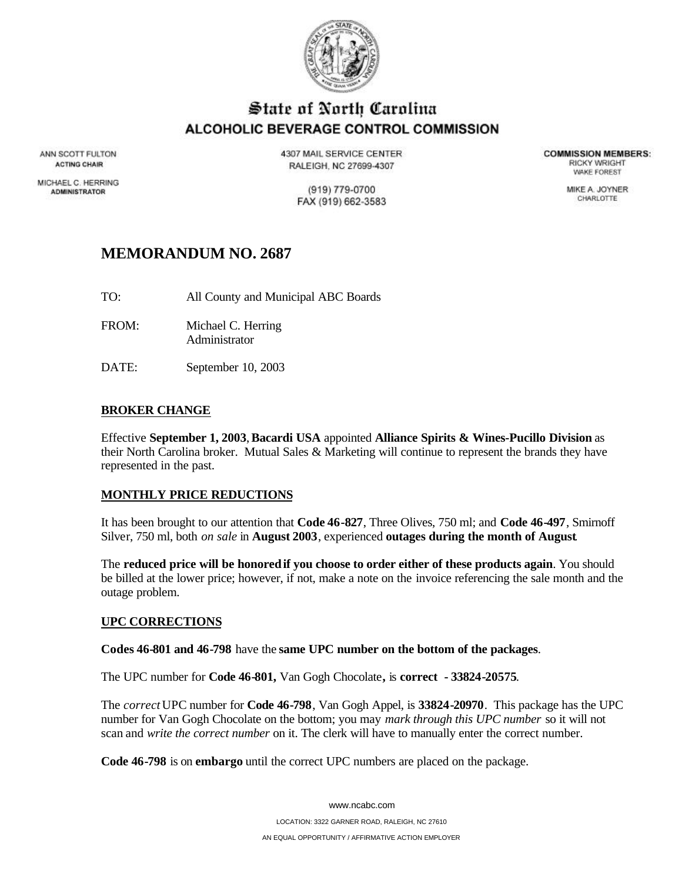

# State of North Carolina ALCOHOLIC BEVERAGE CONTROL COMMISSION

ANN SCOTT FULTON **ACTING CHAIR** 

MICHAEL C. HERRING **ADMINISTRATOR** 

4307 MAIL SERVICE CENTER RALEIGH, NC 27699-4307

> (919) 779-0700 FAX (919) 662-3583

**COMMISSION MEMBERS: RICKY WRIGHT** *VIAKE FOREST* 

> MIKE A. JOYNER CHARLOTTE

## **MEMORANDUM NO. 2687**

- TO: All County and Municipal ABC Boards
- FROM: Michael C. Herring Administrator
- DATE: September 10, 2003

## **BROKER CHANGE**

Effective **September 1, 2003**, **Bacardi USA** appointed **Alliance Spirits & Wines-Pucillo Division** as their North Carolina broker. Mutual Sales & Marketing will continue to represent the brands they have represented in the past.

### **MONTHLY PRICE REDUCTIONS**

It has been brought to our attention that **Code 46-827**, Three Olives, 750 ml; and **Code 46-497**, Smirnoff Silver, 750 ml, both *on sale* in **August 2003**, experienced **outages during the month of August**.

The **reduced price will be honoredif you choose to order either of these products again**. You should be billed at the lower price; however, if not, make a note on the invoice referencing the sale month and the outage problem.

### **UPC CORRECTIONS**

**Codes 46-801 and 46-798** have the **same UPC number on the bottom of the packages**.

The UPC number for **Code 46-801,** Van Gogh Chocolate**,** is **correct - 33824-20575**.

The *correct* UPC number for **Code 46-798**, Van Gogh Appel, is **33824-20970**. This package has the UPC number for Van Gogh Chocolate on the bottom; you may *mark through this UPC number* so it will not scan and *write the correct number* on it. The clerk will have to manually enter the correct number.

**Code 46-798** is on **embargo** until the correct UPC numbers are placed on the package.

www.ncabc.com LOCATION: 3322 GARNER ROAD, RALEIGH, NC 27610 AN EQUAL OPPORTUNITY / AFFIRMATIVE ACTION EMPLOYER